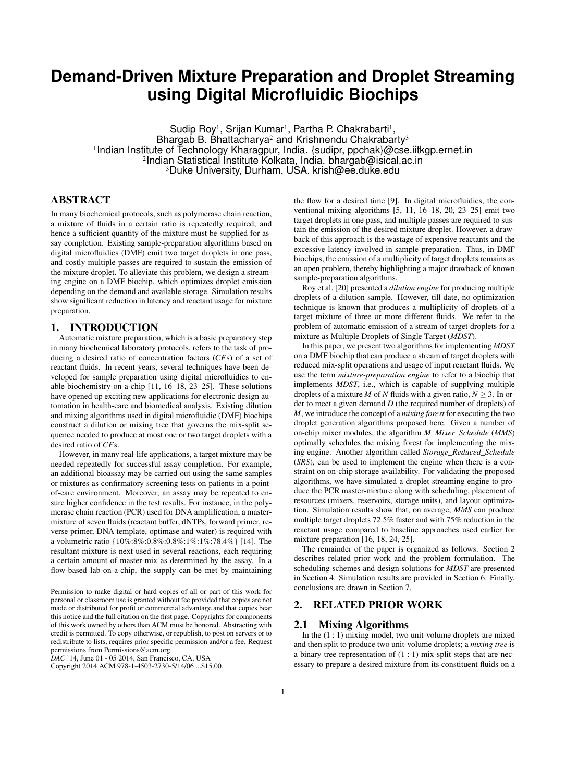# **Demand-Driven Mixture Preparation and Droplet Streaming using Digital Microfluidic Biochips**

Sudip Roy<sup>1</sup>, Srijan Kumar<sup>1</sup>, Partha P. Chakrabarti<sup>1</sup>, Bhargab B. Bhattacharya<sup>2</sup> and Krishnendu Chakrabarty<sup>3</sup> <sup>1</sup>Indian Institute of Technology Kharagpur, India. {sudipr, ppchak}@cse.iitkgp.ernet.in 2 Indian Statistical Institute Kolkata, India. bhargab@isical.ac.in <sup>3</sup>Duke University, Durham, USA. krish@ee.duke.edu

# ABSTRACT

In many biochemical protocols, such as polymerase chain reaction, a mixture of fluids in a certain ratio is repeatedly required, and hence a sufficient quantity of the mixture must be supplied for assay completion. Existing sample-preparation algorithms based on digital microfluidics (DMF) emit two target droplets in one pass, and costly multiple passes are required to sustain the emission of the mixture droplet. To alleviate this problem, we design a streaming engine on a DMF biochip, which optimizes droplet emission depending on the demand and available storage. Simulation results show significant reduction in latency and reactant usage for mixture preparation.

## 1. INTRODUCTION

Automatic mixture preparation, which is a basic preparatory step in many biochemical laboratory protocols, refers to the task of producing a desired ratio of concentration factors (*CF*s) of a set of reactant fluids. In recent years, several techniques have been developed for sample preparation using digital microfluidics to enable biochemistry-on-a-chip [11, 16–18, 23–25]. These solutions have opened up exciting new applications for electronic design automation in health-care and biomedical analysis. Existing dilution and mixing algorithms used in digital microfluidic (DMF) biochips construct a dilution or mixing tree that governs the mix-split sequence needed to produce at most one or two target droplets with a desired ratio of *CF*s.

However, in many real-life applications, a target mixture may be needed repeatedly for successful assay completion. For example, an additional bioassay may be carried out using the same samples or mixtures as confirmatory screening tests on patients in a pointof-care environment. Moreover, an assay may be repeated to ensure higher confidence in the test results. For instance, in the polymerase chain reaction (PCR) used for DNA amplification, a mastermixture of seven fluids (reactant buffer, dNTPs, forward primer, reverse primer, DNA template, optimase and water) is required with a volumetric ratio {10%:8%:0.8%:0.8%:1%:1%:78.4%} [14]. The resultant mixture is next used in several reactions, each requiring a certain amount of master-mix as determined by the assay. In a flow-based lab-on-a-chip, the supply can be met by maintaining

Permission to make digital or hard copies of all or part of this work for personal or classroom use is granted without fee provided that copies are not made or distributed for profit or commercial advantage and that copies bear this notice and the full citation on the first page. Copyrights for components of this work owned by others than ACM must be honored. Abstracting with credit is permitted. To copy otherwise, or republish, to post on servers or to redistribute to lists, requires prior specific permission and/or a fee. Request permissions from Permissions@acm.org.

*DAC* '14, June 01 - 05 2014, San Francisco, CA, USA

Copyright 2014 ACM 978-1-4503-2730-5/14/06 ...\$15.00.

the flow for a desired time [9]. In digital microfluidics, the conventional mixing algorithms [5, 11, 16–18, 20, 23–25] emit two target droplets in one pass, and multiple passes are required to sustain the emission of the desired mixture droplet. However, a drawback of this approach is the wastage of expensive reactants and the excessive latency involved in sample preparation. Thus, in DMF biochips, the emission of a multiplicity of target droplets remains as an open problem, thereby highlighting a major drawback of known sample-preparation algorithms.

Roy et al. [20] presented a *dilution engine* for producing multiple droplets of a dilution sample. However, till date, no optimization technique is known that produces a multiplicity of droplets of a target mixture of three or more different fluids. We refer to the problem of automatic emission of a stream of target droplets for a mixture as Multiple Droplets of Single Target (*MDST*).

In this paper, we present two algorithms for implementing *MDST* on a DMF biochip that can produce a stream of target droplets with reduced mix-split operations and usage of input reactant fluids. We use the term *mixture-preparation engine* to refer to a biochip that implements *MDST*, i.e., which is capable of supplying multiple droplets of a mixture *M* of *N* fluids with a given ratio,  $N \geq 3$ . In order to meet a given demand *D* (the required number of droplets) of *M*, we introduce the concept of a *mixing forest* for executing the two droplet generation algorithms proposed here. Given a number of on-chip mixer modules, the algorithm *M\_Mixer\_Schedule* (*MMS*) optimally schedules the mixing forest for implementing the mixing engine. Another algorithm called *Storage\_Reduced\_Schedule* (*SRS*), can be used to implement the engine when there is a constraint on on-chip storage availability. For validating the proposed algorithms, we have simulated a droplet streaming engine to produce the PCR master-mixture along with scheduling, placement of resources (mixers, reservoirs, storage units), and layout optimization. Simulation results show that, on average, *MMS* can produce multiple target droplets 72.5% faster and with 75% reduction in the reactant usage compared to baseline approaches used earlier for mixture preparation [16, 18, 24, 25].

The remainder of the paper is organized as follows. Section 2 describes related prior work and the problem formulation. The scheduling schemes and design solutions for *MDST* are presented in Section 4. Simulation results are provided in Section 6. Finally, conclusions are drawn in Section 7.

# 2. RELATED PRIOR WORK

### 2.1 Mixing Algorithms

In the (1 : 1) mixing model, two unit-volume droplets are mixed and then split to produce two unit-volume droplets; a *mixing tree* is a binary tree representation of (1 : 1) mix-split steps that are necessary to prepare a desired mixture from its constituent fluids on a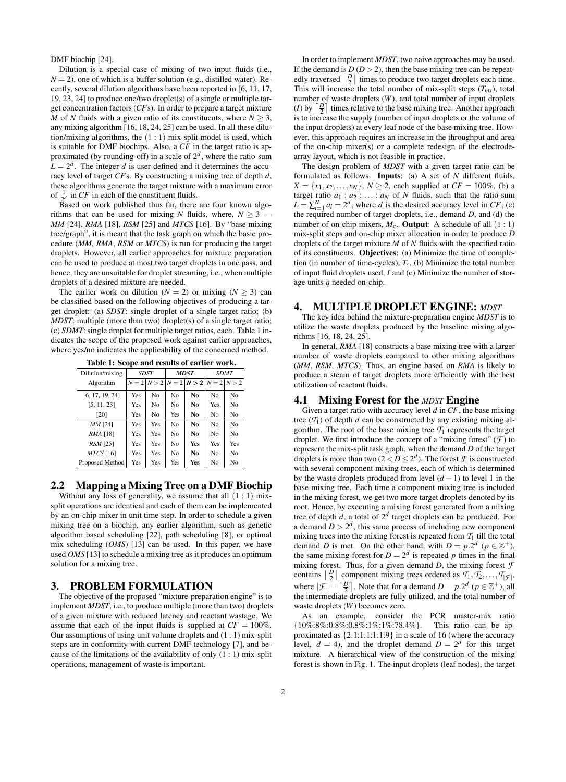DMF biochip [24].

Dilution is a special case of mixing of two input fluids (i.e.,  $N = 2$ ), one of which is a buffer solution (e.g., distilled water). Recently, several dilution algorithms have been reported in [6, 11, 17, 19, 23, 24] to produce one/two droplet(s) of a single or multiple target concentration factors (*CF*s). In order to prepare a target mixture *M* of *N* fluids with a given ratio of its constituents, where  $N \geq 3$ , any mixing algorithm [16, 18, 24, 25] can be used. In all these dilution/mixing algorithms, the  $(1:1)$  mix-split model is used, which is suitable for DMF biochips. Also, a *CF* in the target ratio is approximated (by rounding-off) in a scale of 2*<sup>d</sup>* , where the ratio-sum  $L = 2<sup>d</sup>$ . The integer *d* is user-defined and it determines the accuracy level of target *CF*s. By constructing a mixing tree of depth *d*, these algorithms generate the target mixture with a maximum error of  $\frac{1}{2^d}$  in *CF* in each of the constituent fluids.

Based on work published thus far, there are four known algorithms that can be used for mixing *N* fluids, where,  $N \geq 3$  – *MM* [24], *RMA* [18], *RSM* [25] and *MTCS* [16]. By "base mixing tree/graph", it is meant that the task graph on which the basic procedure (*MM*, *RMA*, *RSM* or *MTCS*) is run for producing the target droplets. However, all earlier approaches for mixture preparation can be used to produce at most two target droplets in one pass, and hence, they are unsuitable for droplet streaming, i.e., when multiple droplets of a desired mixture are needed.

The earlier work on dilution ( $N = 2$ ) or mixing ( $N > 3$ ) can be classified based on the following objectives of producing a target droplet: (a) *SDST*: single droplet of a single target ratio; (b) *MDST*: multiple (more than two) droplet(s) of a single target ratio; (c) *SDMT*: single droplet for multiple target ratios, each. Table 1 indicates the scope of the proposed work against earlier approaches, where yes/no indicates the applicability of the concerned method.

| Dilution/mixing |     | <b>SDST</b>    |                | <b>MDST</b>                           | <b>SDMT</b>    |                |  |
|-----------------|-----|----------------|----------------|---------------------------------------|----------------|----------------|--|
| Algorithm       |     |                |                | $N = 2 N > 2 N = 2 N > 2 N = 2 N > 2$ |                |                |  |
| [6, 17, 19, 24] | Yes | N <sub>o</sub> | N <sub>o</sub> | No.                                   | N <sub>o</sub> | No             |  |
| [5, 11, 23]     | Yes | No             | No             | No                                    | Yes            | No             |  |
| [20]            | Yes | No             | Yes            | No                                    | No             | No             |  |
| MM [24]         | Yes | Yes            | N <sub>0</sub> | N <sub>0</sub>                        | N <sub>0</sub> | N <sub>o</sub> |  |
| RMA [18]        | Yes | Yes            | N <sub>0</sub> | No.                                   | N <sub>0</sub> | No             |  |
| $RSM$ [25]      | Yes | Yes            | N <sub>0</sub> | Yes                                   | Yes            | Yes            |  |
| $MTCS$ [16]     | Yes | Yes            | No             | No                                    | No             | No             |  |
| Proposed Method | Yes | Yes            | Yes            | Yes                                   | No             | No             |  |

Table 1: Scope and results of earlier work.

# 2.2 Mapping a Mixing Tree on a DMF Biochip

Without any loss of generality, we assume that all  $(1:1)$  mixsplit operations are identical and each of them can be implemented by an on-chip mixer in unit time step. In order to schedule a given mixing tree on a biochip, any earlier algorithm, such as genetic algorithm based scheduling [22], path scheduling [8], or optimal mix scheduling (*OMS*) [13] can be used. In this paper, we have used *OMS* [13] to schedule a mixing tree as it produces an optimum solution for a mixing tree.

#### 3. PROBLEM FORMULATION

The objective of the proposed "mixture-preparation engine" is to implement *MDST*, i.e., to produce multiple (more than two) droplets of a given mixture with reduced latency and reactant wastage. We assume that each of the input fluids is supplied at  $CF = 100\%$ . Our assumptions of using unit volume droplets and (1 : 1) mix-split steps are in conformity with current DMF technology [7], and because of the limitations of the availability of only  $(1:1)$  mix-split operations, management of waste is important.

In order to implement *MDST*, two naive approaches may be used. If the demand is  $D(D>2)$ , then the base mixing tree can be repeatedly traversed  $\left\lceil \frac{D}{2} \right\rceil$  times to produce two target droplets each time. This will increase the total number of mix-split steps  $(T_{ms})$ , total number of waste droplets (*W*), and total number of input droplets (*I*) by  $\left\lceil \frac{D}{2} \right\rceil$  times relative to the base mixing tree. Another approach is to increase the supply (number of input droplets or the volume of the input droplets) at every leaf node of the base mixing tree. However, this approach requires an increase in the throughput and area of the on-chip mixer(s) or a complete redesign of the electrodearray layout, which is not feasible in practice.

The design problem of *MDST* with a given target ratio can be formulated as follows. Inputs: (a) A set of *N* different fluids, *X* = { $x_1, x_2,..., x_N$ }, *N* ≥ 2, each supplied at *CF* = 100%, (b) a target ratio  $a_1 : a_2 : \ldots : a_N$  of *N* fluids, such that the ratio-sum  $L = \sum_{i=1}^{N} a_i = 2^d$ , where *d* is the desired accuracy level in *CF*, (c) the required number of target droplets, i.e., demand *D*, and (d) the number of on-chip mixers,  $M_c$ . **Output**: A schedule of all  $(1:1)$ mix-split steps and on-chip mixer allocation in order to produce *D* droplets of the target mixture *M* of *N* fluids with the specified ratio of its constituents. Objectives: (a) Minimize the time of completion (in number of time-cycles), *Tc*, (b) Minimize the total number of input fluid droplets used, *I* and (c) Minimize the number of storage units *q* needed on-chip.

#### 4. MULTIPLE DROPLET ENGINE: *MDST*

The key idea behind the mixture-preparation engine *MDST* is to utilize the waste droplets produced by the baseline mixing algorithms [16, 18, 24, 25].

In general, *RMA* [18] constructs a base mixing tree with a larger number of waste droplets compared to other mixing algorithms (*MM*, *RSM*, *MTCS*). Thus, an engine based on *RMA* is likely to produce a steam of target droplets more efficiently with the best utilization of reactant fluids.

#### 4.1 Mixing Forest for the *MDST* Engine

Given a target ratio with accuracy level *d* in *CF*, the base mixing tree  $(T_1)$  of depth *d* can be constructed by any existing mixing algorithm. The root of the base mixing tree  $\mathcal{T}_1$  represents the target droplet. We first introduce the concept of a "mixing forest"  $(f)$  to represent the mix-split task graph, when the demand *D* of the target droplets is more than two  $(2 < D \le 2^d)$ . The forest *F* is constructed with several component mixing trees, each of which is determined by the waste droplets produced from level (*d* −1) to level 1 in the base mixing tree. Each time a component mixing tree is included in the mixing forest, we get two more target droplets denoted by its root. Hence, by executing a mixing forest generated from a mixing tree of depth  $d$ , a total of  $2^d$  target droplets can be produced. For a demand  $D > 2^d$ , this same process of including new component mixing trees into the mixing forest is repeated from  $T_1$  till the total demand *D* is met. On the other hand, with  $D = p \cdot 2^d$  ( $p \in \mathbb{Z}^+$ ), the same mixing forest for  $D = 2^d$  is repeated *p* times in the final mixing forest. Thus, for a given demand  $D$ , the mixing forest  $\mathcal F$ contains  $\left[\frac{D}{2}\right]$  component mixing trees ordered as  $\mathcal{T}_1, \mathcal{T}_2, \ldots, \mathcal{T}_{|\mathcal{F}|}$ , where  $|\mathcal{F}| = \left[\frac{D}{2}\right]$ . Note that for a demand  $D = p \cdot 2^d$  ( $p \in \mathbb{Z}^+$ ), all the intermediate droplets are fully utilized, and the total number of waste droplets (*W*) becomes zero.

As an example, consider the PCR master-mix ratio {10%:8%:0.8%:0.8%:1%:1%:78.4%}. This ratio can be approximated as {2:1:1:1:1:1:9} in a scale of 16 (where the accuracy level,  $d = 4$ ), and the droplet demand  $D = 2^d$  for this target mixture. A hierarchical view of the construction of the mixing forest is shown in Fig. 1. The input droplets (leaf nodes), the target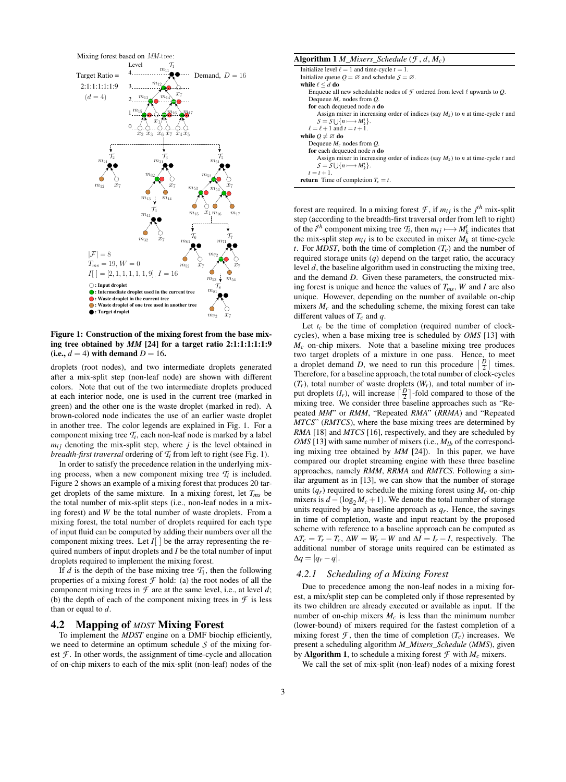

Figure 1: Construction of the mixing forest from the base mixing tree obtained by *MM* [24] for a target ratio 2:1:1:1:1:1:9 (i.e.,  $d = 4$ ) with demand  $D = 16$ .

droplets (root nodes), and two intermediate droplets generated after a mix-split step (non-leaf node) are shown with different colors. Note that out of the two intermediate droplets produced at each interior node, one is used in the current tree (marked in green) and the other one is the waste droplet (marked in red). A brown-colored node indicates the use of an earlier waste droplet in another tree. The color legends are explained in Fig. 1. For a component mixing tree *T<sup>i</sup>* , each non-leaf node is marked by a label  $m_{ij}$  denoting the mix-split step, where  $j$  is the level obtained in *breadth-first traversal* ordering of  $T_i$  from left to right (see Fig. 1).

In order to satisfy the precedence relation in the underlying mixing process, when a new component mixing tree  $T_i$  is included. Figure 2 shows an example of a mixing forest that produces 20 target droplets of the same mixture. In a mixing forest, let  $T_{ms}$  be the total number of mix-split steps (i.e., non-leaf nodes in a mixing forest) and *W* be the total number of waste droplets. From a mixing forest, the total number of droplets required for each type of input fluid can be computed by adding their numbers over all the component mixing trees. Let  $I[\ ]$  be the array representing the required numbers of input droplets and *I* be the total number of input droplets required to implement the mixing forest.

If *d* is the depth of the base mixing tree  $\mathcal{T}_1$ , then the following properties of a mixing forest  $\mathcal F$  hold: (a) the root nodes of all the component mixing trees in  $\mathcal F$  are at the same level, i.e., at level  $d$ ; (b) the depth of each of the component mixing trees in  $\mathcal F$  is less than or equal to *d*.

# 4.2 Mapping of *MDST* Mixing Forest

To implement the *MDST* engine on a DMF biochip efficiently, we need to determine an optimum schedule *S* of the mixing forest  $\mathcal F$ . In other words, the assignment of time-cycle and allocation of on-chip mixers to each of the mix-split (non-leaf) nodes of the

| <b>Algorithm 1</b> M Mixers Schedule $(\mathcal{F}, d, M_c)$                                    |
|-------------------------------------------------------------------------------------------------|
| Initialize level $\ell = 1$ and time-cycle $t = 1$ .                                            |
| Initialize queue $Q = \emptyset$ and schedule $S = \emptyset$ .                                 |
| while $\ell \leq d$ do                                                                          |
| Enqueue all new schedulable nodes of $\mathcal F$ ordered from level $\ell$ upwards to O.       |
| Dequeue $M_c$ nodes from $Q$ .                                                                  |
| for each dequeued node $n$ do                                                                   |
| Assign mixer in increasing order of indices (say $M_k$ ) to <i>n</i> at time-cycle <i>t</i> and |
| $S = S \cup \{n \longmapsto M_k^t\}.$                                                           |
| $\ell = \ell + 1$ and $t = t + 1$ .                                                             |
| while $Q \neq \emptyset$ do                                                                     |
| Dequeue $M_c$ nodes from $Q$ .                                                                  |
| for each dequeued node $n$ do                                                                   |
| Assign mixer in increasing order of indices (say $M_k$ ) to <i>n</i> at time-cycle <i>t</i> and |
| $S = S \cup \{n \longmapsto M_k^t\}.$                                                           |
| $t = t + 1.$                                                                                    |
| <b>return</b> Time of completion $T_c = t$ .                                                    |

forest are required. In a mixing forest  $\mathcal{F}$ , if  $m_{ij}$  is the  $j^{th}$  mix-split step (according to the breadth-first traversal order from left to right) of the *i*<sup>th</sup> component mixing tree  $\mathcal{T}_i$ , then  $m_{ij} \rightarrow M_k^t$  indicates that the mix-split step  $m_{ij}$  is to be executed in mixer  $M_k$  at time-cycle *t*. For *MDST*, both the time of completion  $(T_c)$  and the number of required storage units (*q*) depend on the target ratio, the accuracy level *d*, the baseline algorithm used in constructing the mixing tree, and the demand *D*. Given these parameters, the constructed mixing forest is unique and hence the values of *Tms*, *W* and *I* are also unique. However, depending on the number of available on-chip mixers  $M_c$  and the scheduling scheme, the mixing forest can take different values of *Tc* and *q*.

Let  $t_c$  be the time of completion (required number of clockcycles), when a base mixing tree is scheduled by *OMS* [13] with  $M_c$  on-chip mixers. Note that a baseline mixing tree produces two target droplets of a mixture in one pass. Hence, to meet a droplet demand *D*, we need to run this procedure  $\left\lceil \frac{D}{2} \right\rceil$  times. Therefore, for a baseline approach, the total number of clock-cycles  $(T_r)$ , total number of waste droplets  $(W_r)$ , and total number of input droplets  $(I_r)$ , will increase  $\left\lceil \frac{D}{2} \right\rceil$ -fold compared to those of the mixing tree. We consider three baseline approaches such as "Repeated *MM*" or *RMM*, "Repeated *RMA*" (*RRMA*) and "Repeated *MTCS*" (*RMTCS*), where the base mixing trees are determined by *RMA* [18] and *MTCS* [16], respectively, and they are scheduled by *OMS* [13] with same number of mixers (i.e.,  $M_{lb}$  of the corresponding mixing tree obtained by *MM* [24]). In this paper, we have compared our droplet streaming engine with these three baseline approaches, namely *RMM*, *RRMA* and *RMTCS*. Following a similar argument as in [13], we can show that the number of storage units  $(q_r)$  required to schedule the mixing forest using  $M_c$  on-chip mixers is  $d - (\log_2 M_c + 1)$ . We denote the total number of storage units required by any baseline approach as  $q_r$ . Hence, the savings in time of completion, waste and input reactant by the proposed scheme with reference to a baseline approach can be computed as  $\Delta T_c = T_r - T_c$ ,  $\Delta W = W_r - W$  and  $\Delta I = I_r - I$ , respectively. The additional number of storage units required can be estimated as  $\Delta q = |q_r - q|$ .

## *4.2.1 Scheduling of a Mixing Forest*

Due to precedence among the non-leaf nodes in a mixing forest, a mix/split step can be completed only if those represented by its two children are already executed or available as input. If the number of on-chip mixers  $M_c$  is less than the minimum number (lower-bound) of mixers required for the fastest completion of a mixing forest  $\mathcal{F}$ , then the time of completion  $(T_c)$  increases. We present a scheduling algorithm *M\_Mixers\_Schedule* (*MMS*), given by **Algorithm 1**, to schedule a mixing forest  $\mathcal{F}$  with  $M_c$  mixers.

We call the set of mix-split (non-leaf) nodes of a mixing forest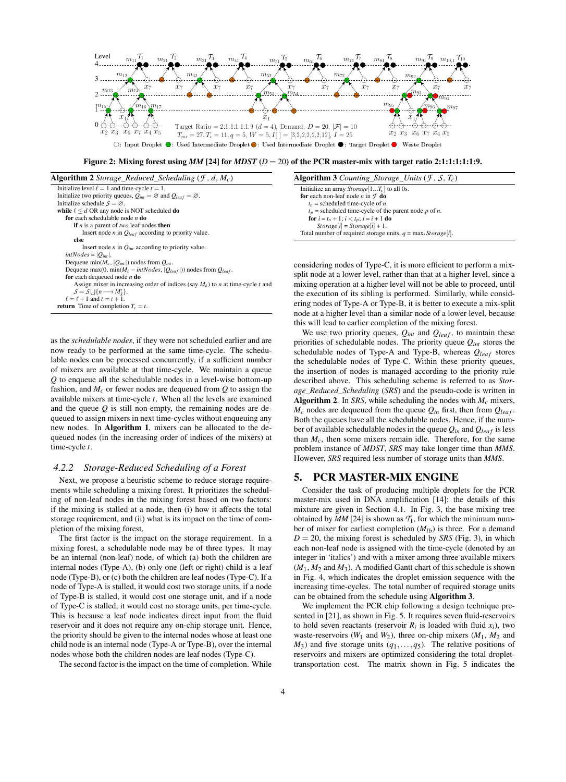

Figure 2: Mixing forest using  $MM$  [24] for  $MDST$  ( $D = 20$ ) of the PCR master-mix with target ratio 2:1:1:1:1:1:1:9.

| <b>Algorithm 2</b> Storage_Reduced_Scheduling $(F, d, M_c)$                                     |
|-------------------------------------------------------------------------------------------------|
| Initialize level $\ell = 1$ and time-cycle $t = 1$ .                                            |
| Initialize two priority queues, $Q_{int} = \emptyset$ and $Q_{leaf} = \emptyset$ .              |
| Initialize schedule $S = \emptyset$ .                                                           |
| while $\ell \leq d$ OR any node is NOT scheduled do                                             |
| for each schedulable node $n$ do                                                                |
| <b>if</b> <i>n</i> is a parent of <i>two</i> leaf nodes <b>then</b>                             |
| Insert node <i>n</i> in $Q_{leaf}$ according to priority value.                                 |
| else                                                                                            |
| Insert node <i>n</i> in $Q_{int}$ according to priority value.                                  |
| $intNodes =  Q_{int} .$                                                                         |
| Dequeue min $(M_c,  Q_{int} )$ nodes from $Q_{int}$ .                                           |
| Dequeue max(0, min( $M_c$ – intNodes, $ Q_{leaf} $ )) nodes from $Q_{leaf}$ .                   |
| for each dequeued node $n$ do                                                                   |
| Assign mixer in increasing order of indices (say $M_k$ ) to <i>n</i> at time-cycle <i>t</i> and |
| $S = S \cup \{n \longmapsto M_k^t\}.$                                                           |
| $\ell = \ell + 1$ and $t = t + 1$ .                                                             |
| <b>return</b> Time of completion $T_c = t$ .                                                    |

as the *schedulable nodes*, if they were not scheduled earlier and are now ready to be performed at the same time-cycle. The schedulable nodes can be processed concurrently, if a sufficient number of mixers are available at that time-cycle. We maintain a queue *Q* to enqueue all the schedulable nodes in a level-wise bottom-up fashion, and  $M_c$  or fewer nodes are dequeued from  $Q$  to assign the available mixers at time-cycle *t*. When all the levels are examined and the queue *Q* is still non-empty, the remaining nodes are dequeued to assign mixers in next time-cycles without enqueuing any new nodes. In Algorithm 1, mixers can be allocated to the dequeued nodes (in the increasing order of indices of the mixers) at time-cycle *t*.

#### *4.2.2 Storage-Reduced Scheduling of a Forest*

Next, we propose a heuristic scheme to reduce storage requirements while scheduling a mixing forest. It prioritizes the scheduling of non-leaf nodes in the mixing forest based on two factors: if the mixing is stalled at a node, then (i) how it affects the total storage requirement, and (ii) what is its impact on the time of completion of the mixing forest.

The first factor is the impact on the storage requirement. In a mixing forest, a schedulable node may be of three types. It may be an internal (non-leaf) node, of which (a) both the children are internal nodes (Type-A), (b) only one (left or right) child is a leaf node (Type-B), or (c) both the children are leaf nodes (Type-C). If a node of Type-A is stalled, it would cost two storage units, if a node of Type-B is stalled, it would cost one storage unit, and if a node of Type-C is stalled, it would cost no storage units, per time-cycle. This is because a leaf node indicates direct input from the fluid reservoir and it does not require any on-chip storage unit. Hence, the priority should be given to the internal nodes whose at least one child node is an internal node (Type-A or Type-B), over the internal nodes whose both the children nodes are leaf nodes (Type-C).

The second factor is the impact on the time of completion. While

| <b>Algorithm 3</b> Counting Storage Units $(F, S, T_c)$          |  |
|------------------------------------------------------------------|--|
| Initialize an array $Storage[1T_c]$ to all 0s.                   |  |
| for each non-leaf node <i>n</i> in $\mathcal F$ do               |  |
| $t_n$ = scheduled time-cycle of <i>n</i> .                       |  |
| $t_p$ = scheduled time-cycle of the parent node p of n.          |  |
| <b>for</b> $i = t_n + 1$ ; $i < t_p$ ; $i = i + 1$ <b>do</b>     |  |
| $Storage[i] = Storage[i] + 1.$                                   |  |
| Total number of required storage units, $q = \max_i Storage i .$ |  |

considering nodes of Type-C, it is more efficient to perform a mixsplit node at a lower level, rather than that at a higher level, since a mixing operation at a higher level will not be able to proceed, until the execution of its sibling is performed. Similarly, while considering nodes of Type-A or Type-B, it is better to execute a mix-split node at a higher level than a similar node of a lower level, because this will lead to earlier completion of the mixing forest.

We use two priority queues,  $Q_{int}$  and  $Q_{leaf}$ , to maintain these priorities of schedulable nodes. The priority queue *Qint* stores the schedulable nodes of Type-A and Type-B, whereas  $Q_{leaf}$  stores the schedulable nodes of Type-C. Within these priority queues, the insertion of nodes is managed according to the priority rule described above. This scheduling scheme is referred to as *Storage\_Reduced\_Scheduling* (*SRS*) and the pseudo-code is written in **Algorithm 2.** In *SRS*, while scheduling the nodes with  $M_c$  mixers,  $M_c$  nodes are dequeued from the queue  $Q_{in}$  first, then from  $Q_{leaf}$ . Both the queues have all the schedulable nodes. Hence, if the number of available schedulable nodes in the queue  $Q_{in}$  and  $Q_{leaf}$  is less than  $M_c$ , then some mixers remain idle. Therefore, for the same problem instance of *MDST*, *SRS* may take longer time than *MMS*. However, *SRS* required less number of storage units than *MMS*.

# 5. PCR MASTER-MIX ENGINE

Consider the task of producing multiple droplets for the PCR master-mix used in DNA amplification [14]; the details of this mixture are given in Section 4.1. In Fig. 3, the base mixing tree obtained by  $MM$  [24] is shown as  $T_1$ , for which the minimum number of mixer for earliest completion (*Mlb*) is three. For a demand  $D = 20$ , the mixing forest is scheduled by *SRS* (Fig. 3), in which each non-leaf node is assigned with the time-cycle (denoted by an integer in 'italics') and with a mixer among three available mixers  $(M_1, M_2 \text{ and } M_3)$ . A modified Gantt chart of this schedule is shown in Fig. 4, which indicates the droplet emission sequence with the increasing time-cycles. The total number of required storage units can be obtained from the schedule using Algorithm 3.

We implement the PCR chip following a design technique presented in [21], as shown in Fig. 5. It requires seven fluid-reservoirs to hold seven reactants (reservoir  $R_i$  is loaded with fluid  $x_i$ ), two waste-reservoirs  $(W_1$  and  $W_2)$ , three on-chip mixers  $(M_1, M_2)$  and  $M_3$ ) and five storage units  $(q_1, \ldots, q_5)$ . The relative positions of reservoirs and mixers are optimized considering the total droplettransportation cost. The matrix shown in Fig. 5 indicates the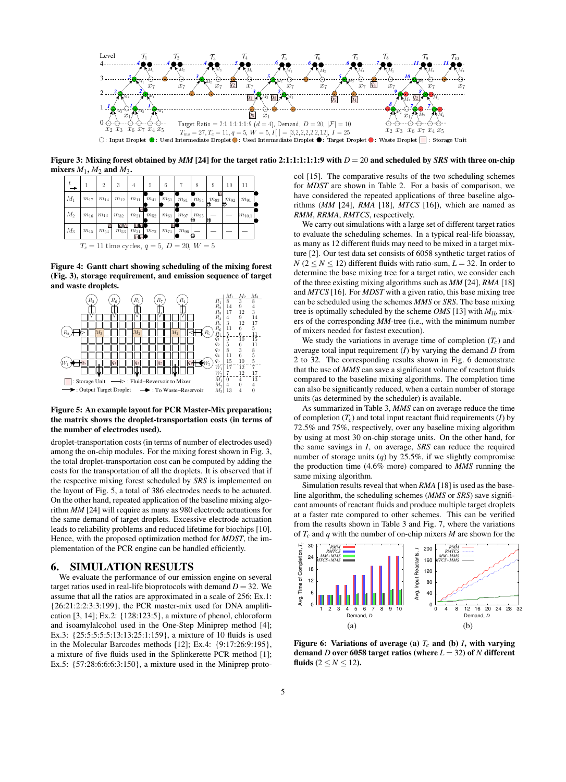

Figure 3: Mixing forest obtained by *MM* [24] for the target ratio 2:1:1:1:1:1:9 with *D* = 20 and scheduled by *SRS* with three on-chip mixers  $M_1$ ,  $M_2$  and  $M_3$ .



Figure 4: Gantt chart showing scheduling of the mixing forest (Fig. 3), storage requirement, and emission sequence of target and waste droplets.



Figure 5: An example layout for PCR Master-Mix preparation; the matrix shows the droplet-transportation costs (in terms of the number of electrodes used).

droplet-transportation costs (in terms of number of electrodes used) among the on-chip modules. For the mixing forest shown in Fig. 3, the total droplet-transportation cost can be computed by adding the costs for the transportation of all the droplets. It is observed that if the respective mixing forest scheduled by *SRS* is implemented on the layout of Fig. 5, a total of 386 electrodes needs to be actuated. On the other hand, repeated application of the baseline mixing algorithm *MM* [24] will require as many as 980 electrode actuations for the same demand of target droplets. Excessive electrode actuation leads to reliability problems and reduced lifetime for biochips [10]. Hence, with the proposed optimization method for *MDST*, the implementation of the PCR engine can be handled efficiently.

# 6. SIMULATION RESULTS

We evaluate the performance of our emission engine on several target ratios used in real-life bioprotocols with demand  $D = 32$ . We assume that all the ratios are approximated in a scale of 256; Ex.1: {26:21:2:2:3:3:199}, the PCR master-mix used for DNA amplification [3, 14]; Ex.2: {128:123:5}, a mixture of phenol, chloroform and isoamylalcohol used in the One-Step Miniprep method [4]; Ex.3: {25:5:5:5:5:13:13:25:1:159}, a mixture of 10 fluids is used in the Molecular Barcodes methods [12]; Ex.4: {9:17:26:9:195}, a mixture of five fluids used in the Splinkerette PCR method [1]; Ex.5: {57:28:6:6:6:3:150}, a mixture used in the Miniprep protocol [15]. The comparative results of the two scheduling schemes for *MDST* are shown in Table 2. For a basis of comparison, we have considered the repeated applications of three baseline algorithms (*MM* [24], *RMA* [18], *MTCS* [16]), which are named as *RMM*, *RRMA*, *RMTCS*, respectively.

We carry out simulations with a large set of different target ratios to evaluate the scheduling schemes. In a typical real-life bioassay, as many as 12 different fluids may need to be mixed in a target mixture [2]. Our test data set consists of 6058 synthetic target ratios of  $N$  ( $2 \le N \le 12$ ) different fluids with ratio-sum,  $L = 32$ . In order to determine the base mixing tree for a target ratio, we consider each of the three existing mixing algorithms such as *MM* [24], *RMA* [18] and *MTCS* [16]. For *MDST* with a given ratio, this base mixing tree can be scheduled using the schemes *MMS* or *SRS*. The base mixing tree is optimally scheduled by the scheme *OMS* [13] with  $M_{1b}$  mixers of the corresponding *MM*-tree (i.e., with the minimum number of mixers needed for fastest execution).

We study the variations in average time of completion  $(T_c)$  and average total input requirement (*I*) by varying the demand *D* from 2 to 32. The corresponding results shown in Fig. 6 demonstrate that the use of *MMS* can save a significant volume of reactant fluids compared to the baseline mixing algorithms. The completion time can also be significantly reduced, when a certain number of storage units (as determined by the scheduler) is available.

As summarized in Table 3, *MMS* can on average reduce the time of completion  $(T_c)$  and total input reactant fluid requirements  $(I)$  by 72.5% and 75%, respectively, over any baseline mixing algorithm by using at most 30 on-chip storage units. On the other hand, for the same savings in *I*, on average, *SRS* can reduce the required number of storage units (*q*) by 25.5%, if we slightly compromise the production time (4.6% more) compared to *MMS* running the same mixing algorithm.

Simulation results reveal that when *RMA* [18] is used as the baseline algorithm, the scheduling schemes (*MMS* or *SRS*) save significant amounts of reactant fluids and produce multiple target droplets at a faster rate compared to other schemes. This can be verified from the results shown in Table 3 and Fig. 7, where the variations of *Tc* and *q* with the number of on-chip mixers *M* are shown for the



Figure 6: Variations of average (a)  $T_c$  and (b) *I*, with varying demand *D* over 6058 target ratios (where *L* = 32) of *N* different fluids  $(2 \le N \le 12)$ .